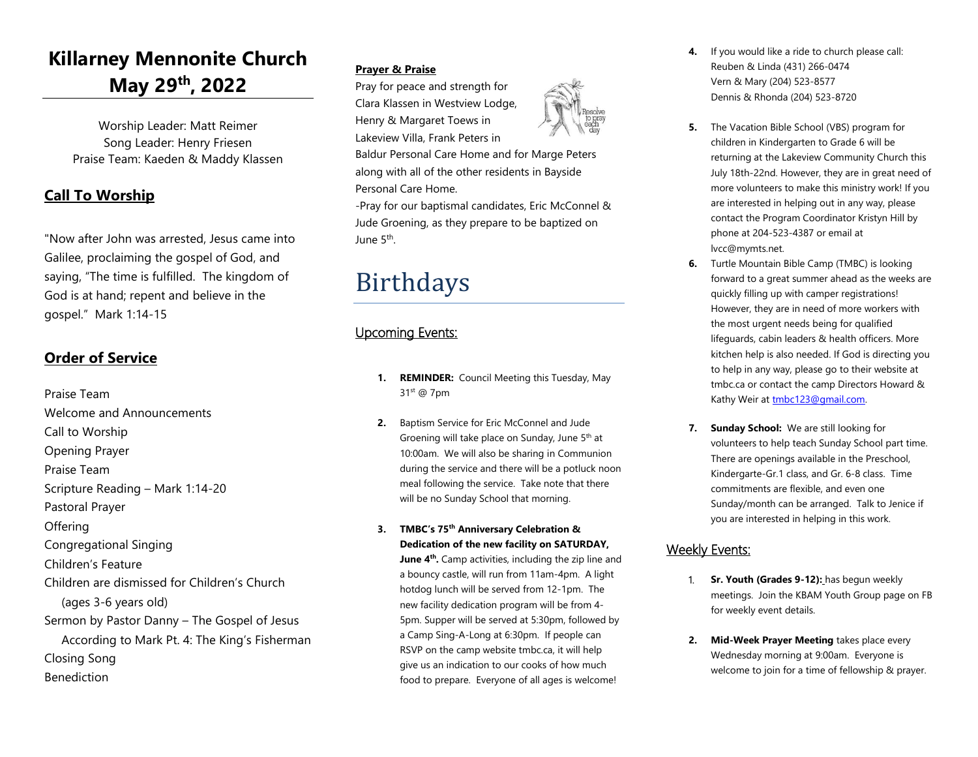### **Killarney Mennonite Church May 29th, 2022**

Worship Leader: Matt Reimer Song Leader: Henry Friesen Praise Team: Kaeden & Maddy Klassen

### **Call To Worship**

"Now after John was arrested, Jesus came into Galilee, proclaiming the gospel of God, and saying, "The time is fulfilled. The kingdom of God is at hand; repent and believe in the gospel." Mark 1:14-15

#### **Order of Service**

Praise Team Welcome and Announcements Call to Worship Opening Prayer Praise Team Scripture Reading – Mark 1:14-20 Pastoral Prayer **Offering** Congregational Singing Children's Feature Children are dismissed for Children's Church (ages 3-6 years old) Sermon by Pastor Danny – The Gospel of Jesus According to Mark Pt. 4: The King's Fisherman Closing Song Benediction

#### **Prayer & Praise**

Personal Care Home.

Birthdays

Upcoming Events:

31st @ 7pm

June 5<sup>th</sup>.

Pray for peace and strength for Clara Klassen in Westview Lodge, Henry & Margaret Toews in Lakeview Villa, Frank Peters in

Baldur Personal Care Home and for Marge Peters along with all of the other residents in Bayside

-Pray for our baptismal candidates, Eric McConnel & Jude Groening, as they prepare to be baptized on



- **4.** If you would like a ride to church please call: Reuben & Linda (431) 266-0474 Vern & Mary (204) 523-8577 Dennis & Rhonda (204) 523-8720
- **5.** The Vacation Bible School (VBS) program for children in Kindergarten to Grade 6 will be returning at the Lakeview Community Church this July 18th-22nd. However, they are in great need of more volunteers to make this ministry work! If you are interested in helping out in any way, please contact the Program Coordinator Kristyn Hill by phone at 204-523-4387 or email at lvcc@mymts.net.
- **6.** Turtle Mountain Bible Camp (TMBC) is looking forward to a great summer ahead as the weeks are quickly filling up with camper registrations! However, they are in need of more workers with the most urgent needs being for qualified lifeguards, cabin leaders & health officers. More kitchen help is also needed. If God is directing you to help in any way, please go to their website at tmbc.ca or contact the camp Directors Howard & Kathy Weir at [tmbc123@gmail.com.](mailto:tmbc123@gmail.c​om)
- **7. Sunday School:** We are still looking for volunteers to help teach Sunday School part time. There are openings available in the Preschool, Kindergarte-Gr.1 class, and Gr. 6-8 class. Time commitments are flexible, and even one Sunday/month can be arranged. Talk to Jenice if you are interested in helping in this work.

#### Weekly Events:

- Sr. Youth (Grades 9-12): has begun weekly meetings. Join the KBAM Youth Group page on FB for weekly event details.
- **2. Mid-Week Prayer Meeting** takes place every Wednesday morning at 9:00am. Everyone is welcome to join for a time of fellowship & prayer.

## **1. REMINDER:** Council Meeting this Tuesday, May

- **2.** Baptism Service for Eric McConnel and Jude Groening will take place on Sunday, June  $5<sup>th</sup>$  at 10:00am. We will also be sharing in Communion during the service and there will be a potluck noon meal following the service. Take note that there will be no Sunday School that morning.
- **3. TMBC's 75th Anniversary Celebration & Dedication of the new facility on SATURDAY,**

**June 4<sup>th</sup>**. Camp activities, including the zip line and a bouncy castle, will run from 11am-4pm. A light hotdog lunch will be served from 12-1pm. The new facility dedication program will be from 4- 5pm. Supper will be served at 5:30pm, followed by a Camp Sing-A-Long at 6:30pm. If people can RSVP on the camp website tmbc.ca, it will help give us an indication to our cooks of how much food to prepare. Everyone of all ages is welcome!